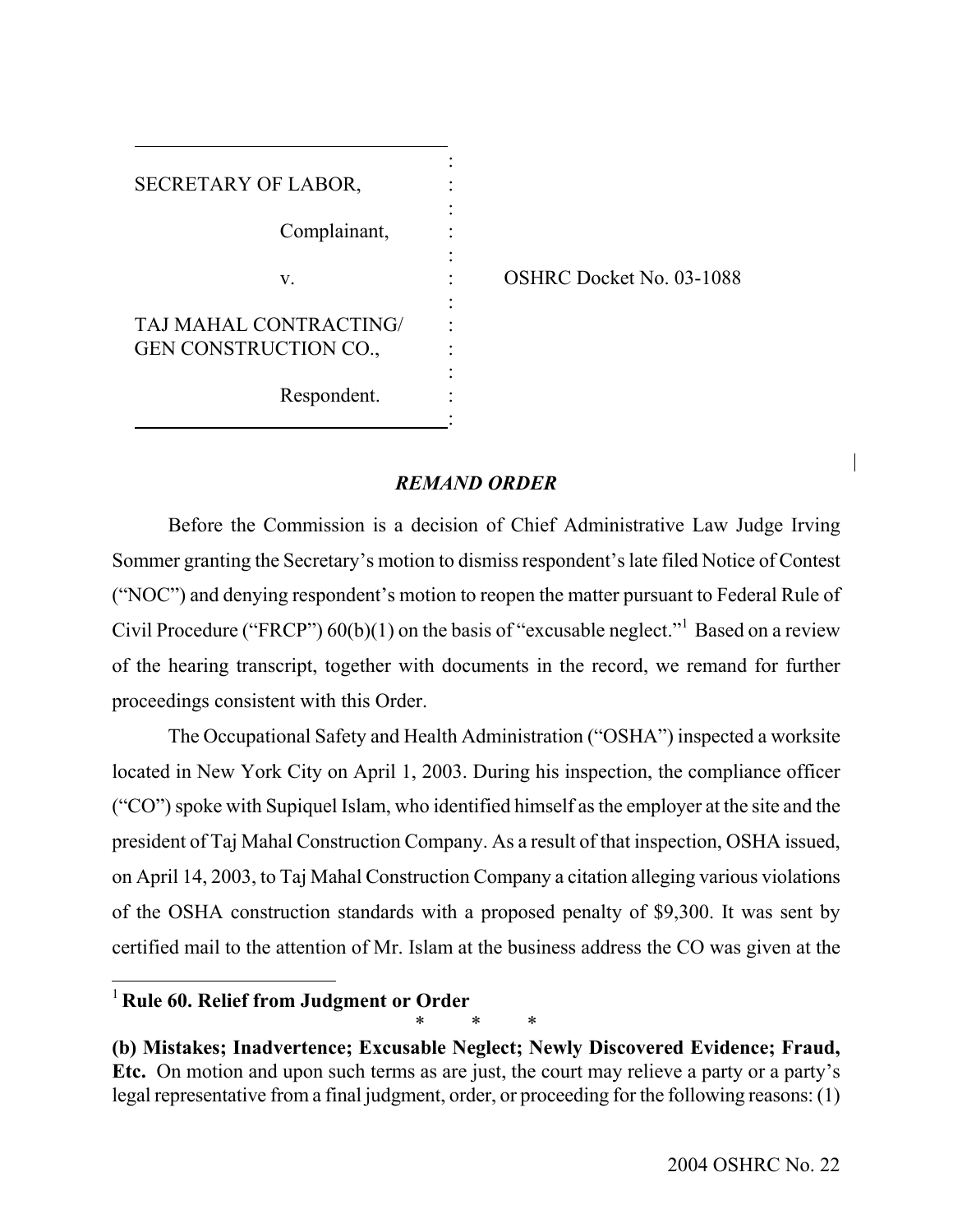| SECRETARY OF LABOR,                             |  |
|-------------------------------------------------|--|
| Complainant,                                    |  |
| V.                                              |  |
| TAJ MAHAL CONTRACTING/<br>GEN CONSTRUCTION CO., |  |
| Respondent.                                     |  |

OSHRC Docket No. 03-1088

# *REMAND ORDER*

Before the Commission is a decision of Chief Administrative Law Judge Irving Sommer granting the Secretary's motion to dismiss respondent's late filed Notice of Contest ("NOC") and denying respondent's motion to reopen the matter pursuant to Federal Rule of Civil Procedure ("FRCP")  $60(b)(1)$  on the basis of "excusable neglect."<sup>1</sup> Based on a review of the hearing transcript, together with documents in the record, we remand for further proceedings consistent with this Order.

The Occupational Safety and Health Administration ("OSHA") inspected a worksite located in New York City on April 1, 2003. During his inspection, the compliance officer ("CO") spoke with Supiquel Islam, who identified himself as the employer at the site and the president of Taj Mahal Construction Company. As a result of that inspection, OSHA issued, on April 14, 2003, to Taj Mahal Construction Company a citation alleging various violations of the OSHA construction standards with a proposed penalty of \$9,300. It was sent by certified mail to the attention of Mr. Islam at the business address the CO was given at the

\* \* \*

<span id="page-0-0"></span><sup>1</sup>**Rule 60. Relief from Judgment or Order** 

**<sup>(</sup>b) Mistakes; Inadvertence; Excusable Neglect; Newly Discovered Evidence; Fraud, Etc.** On motion and upon such terms as are just, the court may relieve a party or a party's legal representative from a final judgment, order, or proceeding for the following reasons: (1)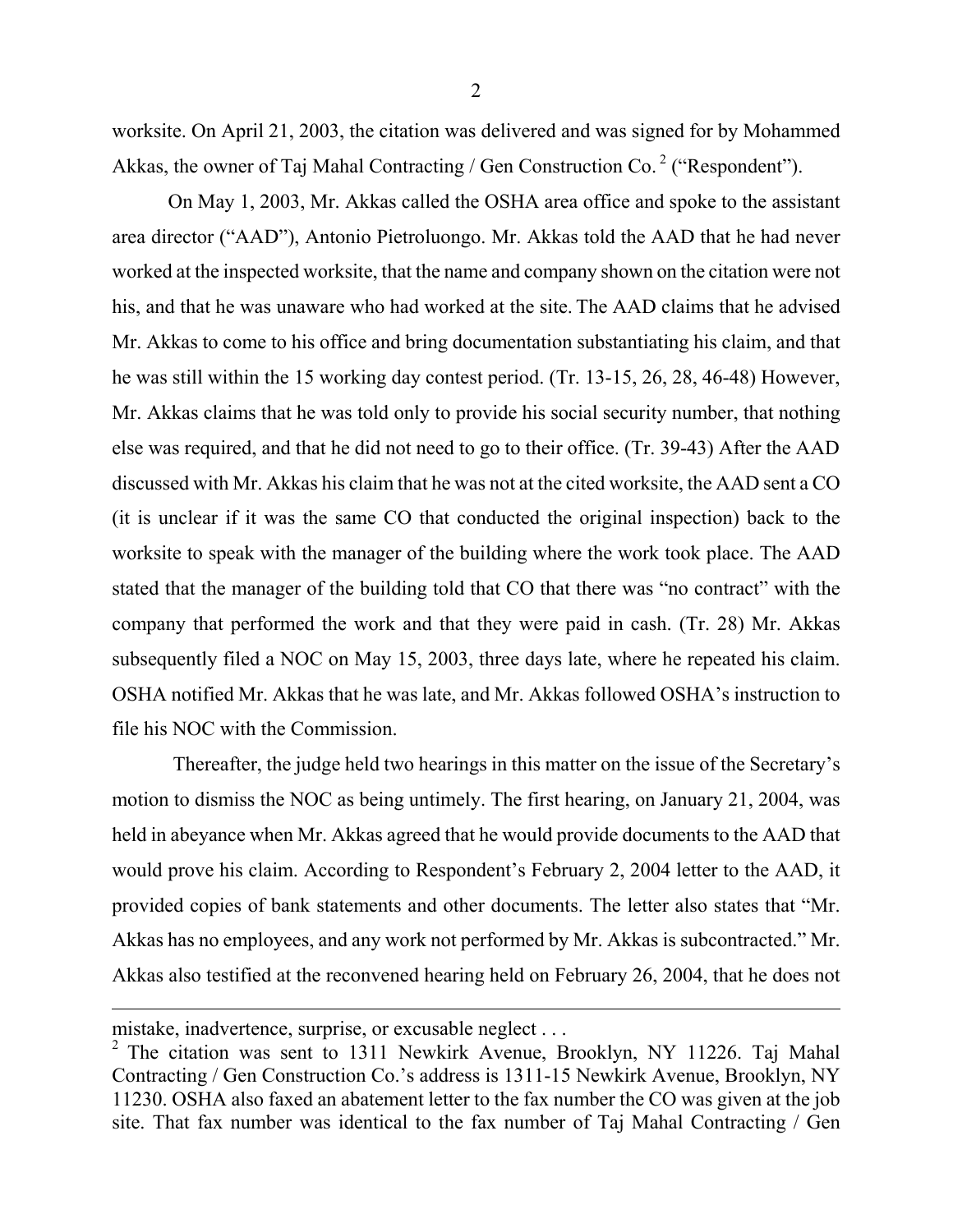worksite. On April 21, 2003, the citation was delivered and was signed for by Mohammed Akkas, the owner of Taj Mahal Contracting / Gen Construction Co.  $2$  ("Respondent").

On May 1, 2003, Mr. Akkas called the OSHA area office and spoke to the assistant area director ("AAD"), Antonio Pietroluongo. Mr. Akkas told the AAD that he had never worked at the inspected worksite, that the name and company shown on the citation were not his, and that he was unaware who had worked at the site. The AAD claims that he advised Mr. Akkas to come to his office and bring documentation substantiating his claim, and that he was still within the 15 working day contest period. (Tr. 13-15, 26, 28, 46-48) However, Mr. Akkas claims that he was told only to provide his social security number, that nothing else was required, and that he did not need to go to their office. (Tr. 39-43) After the AAD discussed with Mr. Akkas his claim that he was not at the cited worksite, the AAD sent a CO (it is unclear if it was the same CO that conducted the original inspection) back to the worksite to speak with the manager of the building where the work took place. The AAD stated that the manager of the building told that CO that there was "no contract" with the company that performed the work and that they were paid in cash. (Tr. 28) Mr. Akkas subsequently filed a NOC on May 15, 2003, three days late, where he repeated his claim. OSHA notified Mr. Akkas that he was late, and Mr. Akkas followed OSHA's instruction to file his NOC with the Commission.

Thereafter, the judge held two hearings in this matter on the issue of the Secretary's motion to dismiss the NOC as being untimely. The first hearing, on January 21, 2004, was held in abeyance when Mr. Akkas agreed that he would provide documents to the AAD that would prove his claim. According to Respondent's February 2, 2004 letter to the AAD, it provided copies of bank statements and other documents. The letter also states that "Mr. Akkas has no employees, and any work not performed by Mr. Akkas is subcontracted." Mr. Akkas also testified at the reconvened hearing held on February 26, 2004, that he does not

mistake, inadvertence, surprise, or excusable neglect . . .

<span id="page-1-0"></span><sup>&</sup>lt;sup>2</sup> The citation was sent to 1311 Newkirk Avenue, Brooklyn, NY 11226. Taj Mahal Contracting / Gen Construction Co.'s address is 1311-15 Newkirk Avenue, Brooklyn, NY 11230. OSHA also faxed an abatement letter to the fax number the CO was given at the job site. That fax number was identical to the fax number of Taj Mahal Contracting / Gen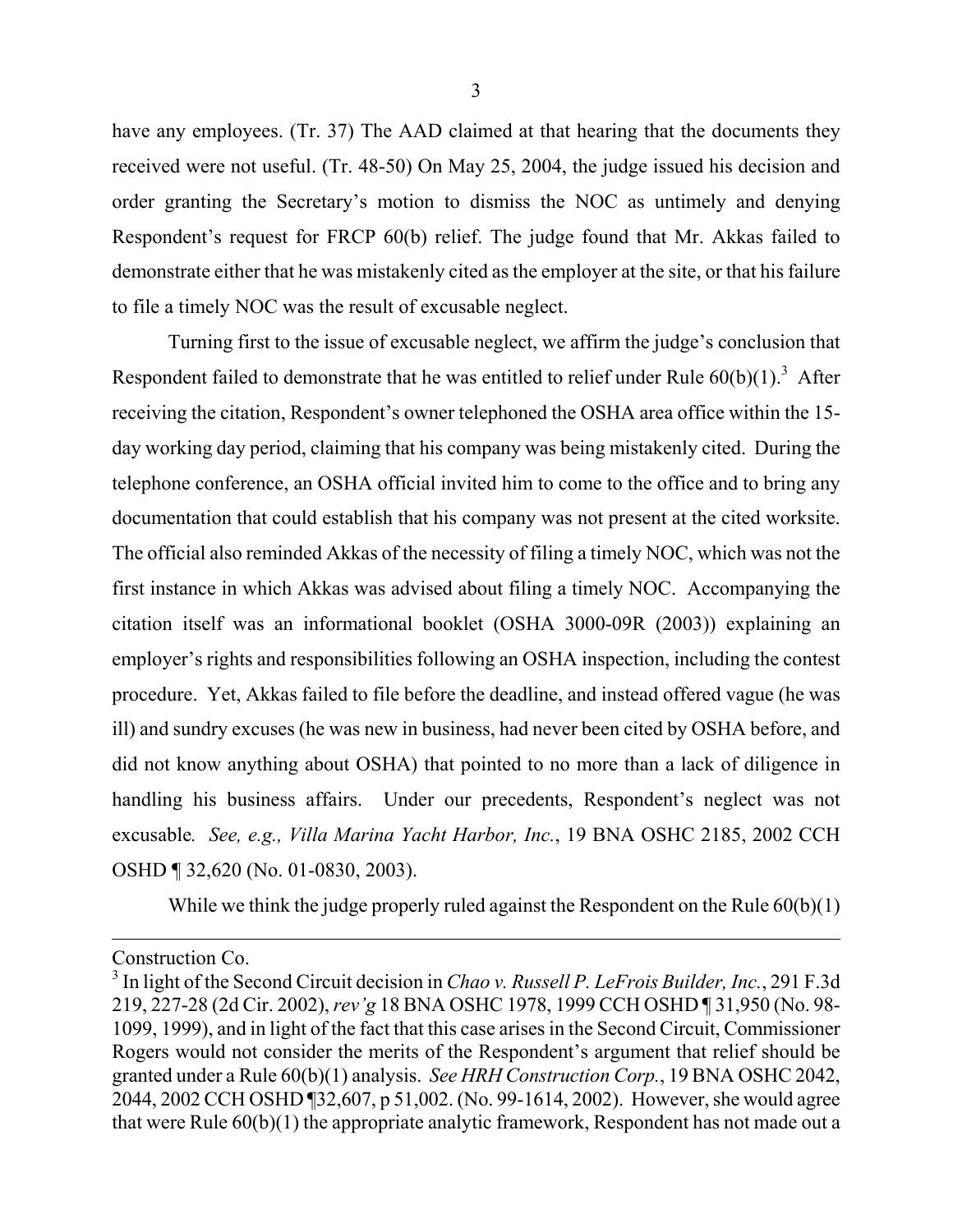have any employees. (Tr. 37) The AAD claimed at that hearing that the documents they received were not useful. (Tr. 48-50) On May 25, 2004, the judge issued his decision and order granting the Secretary's motion to dismiss the NOC as untimely and denying Respondent's request for FRCP 60(b) relief. The judge found that Mr. Akkas failed to demonstrate either that he was mistakenly cited as the employer at the site, or that his failure to file a timely NOC was the result of excusable neglect.

Turning first to the issue of excusable neglect, we affirm the judge's conclusion that Respondent failed to demonstrate that he was entitled to relief under Rule  $60(b)(1)$ .<sup>[3](#page-2-0)</sup> After receiving the citation, Respondent's owner telephoned the OSHA area office within the 15 day working day period, claiming that his company was being mistakenly cited. During the telephone conference, an OSHA official invited him to come to the office and to bring any documentation that could establish that his company was not present at the cited worksite. The official also reminded Akkas of the necessity of filing a timely NOC, which was not the first instance in which Akkas was advised about filing a timely NOC. Accompanying the citation itself was an informational booklet (OSHA 3000-09R (2003)) explaining an employer's rights and responsibilities following an OSHA inspection, including the contest procedure. Yet, Akkas failed to file before the deadline, and instead offered vague (he was ill) and sundry excuses (he was new in business, had never been cited by OSHA before, and did not know anything about OSHA) that pointed to no more than a lack of diligence in handling his business affairs. Under our precedents, Respondent's neglect was not excusable*. See, e.g., Villa Marina Yacht Harbor, Inc.*, 19 BNA OSHC 2185, 2002 CCH OSHD ¶ 32,620 (No. 01-0830, 2003).

While we think the judge properly ruled against the Respondent on the Rule  $60(b)(1)$ 

Construction Co.

<span id="page-2-0"></span><sup>3</sup> In light of the Second Circuit decision in *Chao v. Russell P. LeFrois Builder, Inc.*, 291 F.3d 219, 227-28 (2d Cir. 2002), *rev'g* 18 BNA OSHC 1978, 1999 CCH OSHD ¶ 31,950 (No. 98- 1099, 1999), and in light of the fact that this case arises in the Second Circuit, Commissioner Rogers would not consider the merits of the Respondent's argument that relief should be granted under a Rule 60(b)(1) analysis. *See HRH Construction Corp.*, 19 BNA OSHC 2042, 2044, 2002 CCH OSHD ¶32,607, p 51,002. (No. 99-1614, 2002). However, she would agree that were Rule 60(b)(1) the appropriate analytic framework, Respondent has not made out a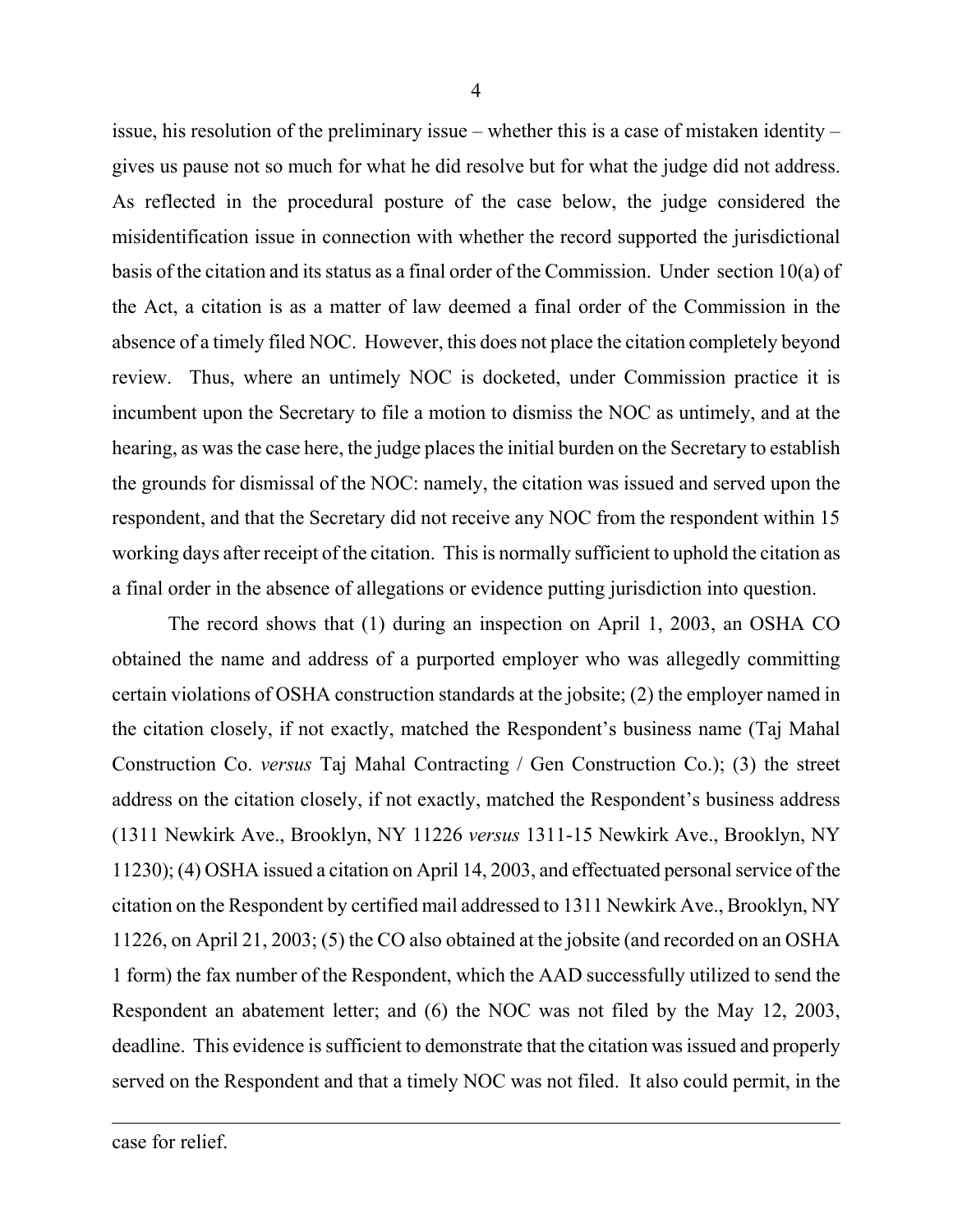issue, his resolution of the preliminary issue – whether this is a case of mistaken identity – gives us pause not so much for what he did resolve but for what the judge did not address. As reflected in the procedural posture of the case below, the judge considered the misidentification issue in connection with whether the record supported the jurisdictional basis of the citation and its status as a final order of the Commission. Under section 10(a) of the Act, a citation is as a matter of law deemed a final order of the Commission in the absence of a timely filed NOC. However, this does not place the citation completely beyond review. Thus, where an untimely NOC is docketed, under Commission practice it is incumbent upon the Secretary to file a motion to dismiss the NOC as untimely, and at the hearing, as was the case here, the judge places the initial burden on the Secretary to establish the grounds for dismissal of the NOC: namely, the citation was issued and served upon the respondent, and that the Secretary did not receive any NOC from the respondent within 15 working days after receipt of the citation. This is normally sufficient to uphold the citation as a final order in the absence of allegations or evidence putting jurisdiction into question.

The record shows that (1) during an inspection on April 1, 2003, an OSHA CO obtained the name and address of a purported employer who was allegedly committing certain violations of OSHA construction standards at the jobsite; (2) the employer named in the citation closely, if not exactly, matched the Respondent's business name (Taj Mahal Construction Co. *versus* Taj Mahal Contracting / Gen Construction Co.); (3) the street address on the citation closely, if not exactly, matched the Respondent's business address (1311 Newkirk Ave., Brooklyn, NY 11226 *versus* 1311-15 Newkirk Ave., Brooklyn, NY 11230); (4) OSHA issued a citation on April 14, 2003, and effectuated personal service of the citation on the Respondent by certified mail addressed to 1311 Newkirk Ave., Brooklyn, NY 11226, on April 21, 2003; (5) the CO also obtained at the jobsite (and recorded on an OSHA 1 form) the fax number of the Respondent, which the AAD successfully utilized to send the Respondent an abatement letter; and (6) the NOC was not filed by the May 12, 2003, deadline. This evidence is sufficient to demonstrate that the citation was issued and properly served on the Respondent and that a timely NOC was not filed. It also could permit, in the

case for relief.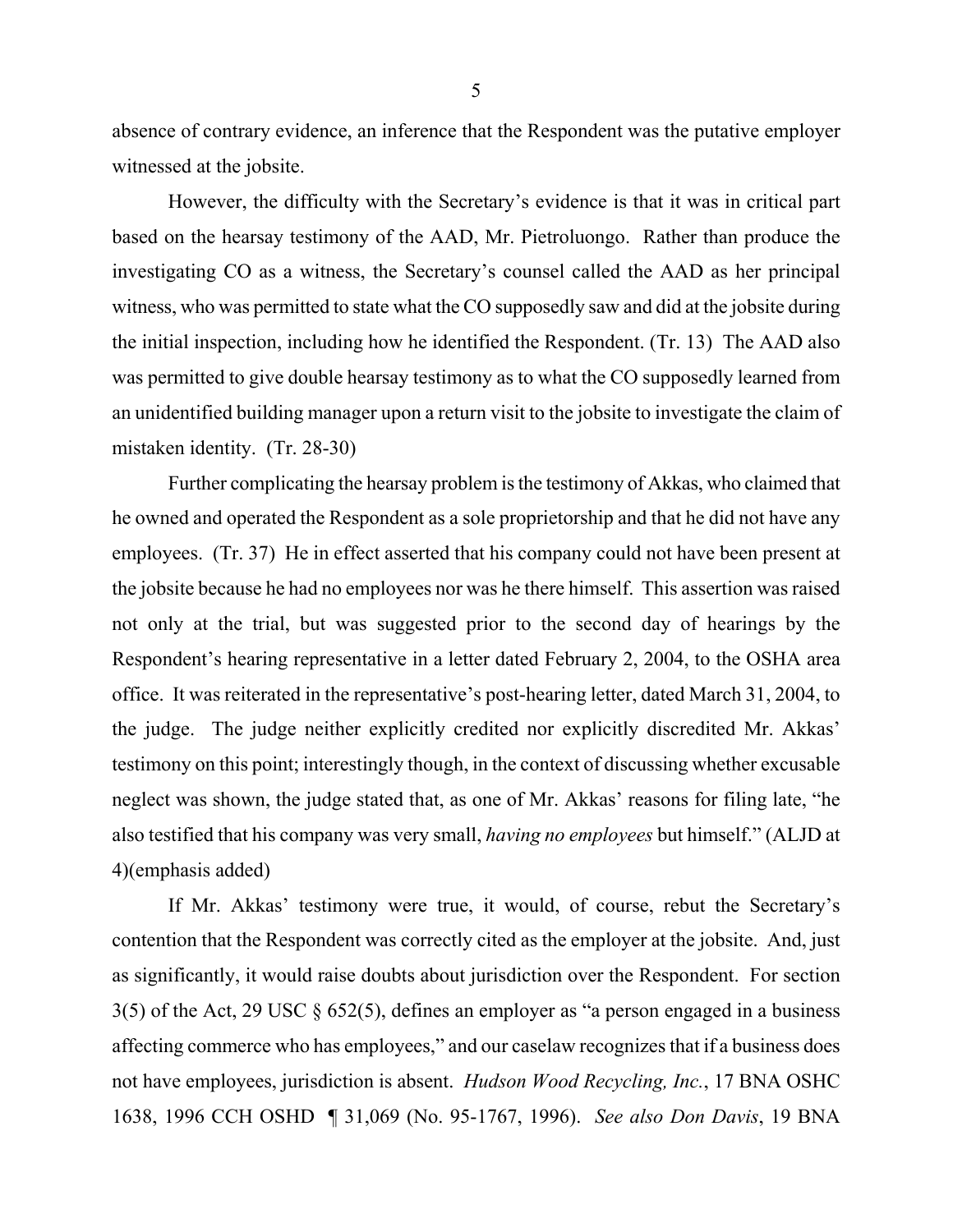absence of contrary evidence, an inference that the Respondent was the putative employer witnessed at the jobsite.

However, the difficulty with the Secretary's evidence is that it was in critical part based on the hearsay testimony of the AAD, Mr. Pietroluongo. Rather than produce the investigating CO as a witness, the Secretary's counsel called the AAD as her principal witness, who was permitted to state what the CO supposedly saw and did at the jobsite during the initial inspection, including how he identified the Respondent. (Tr. 13) The AAD also was permitted to give double hearsay testimony as to what the CO supposedly learned from an unidentified building manager upon a return visit to the jobsite to investigate the claim of mistaken identity. (Tr. 28-30)

Further complicating the hearsay problem is the testimony of Akkas, who claimed that he owned and operated the Respondent as a sole proprietorship and that he did not have any employees. (Tr. 37) He in effect asserted that his company could not have been present at the jobsite because he had no employees nor was he there himself. This assertion was raised not only at the trial, but was suggested prior to the second day of hearings by the Respondent's hearing representative in a letter dated February 2, 2004, to the OSHA area office. It was reiterated in the representative's post-hearing letter, dated March 31, 2004, to the judge. The judge neither explicitly credited nor explicitly discredited Mr. Akkas' testimony on this point; interestingly though, in the context of discussing whether excusable neglect was shown, the judge stated that, as one of Mr. Akkas' reasons for filing late, "he also testified that his company was very small, *having no employees* but himself." (ALJD at 4)(emphasis added)

If Mr. Akkas' testimony were true, it would, of course, rebut the Secretary's contention that the Respondent was correctly cited as the employer at the jobsite. And, just as significantly, it would raise doubts about jurisdiction over the Respondent. For section 3(5) of the Act, 29 USC § 652(5), defines an employer as "a person engaged in a business affecting commerce who has employees," and our caselaw recognizes that if a business does not have employees, jurisdiction is absent. *Hudson Wood Recycling, Inc.*, 17 BNA OSHC 1638, 1996 CCH OSHD ¶ 31,069 (No. 95-1767, 1996). *See also Don Davis*, 19 BNA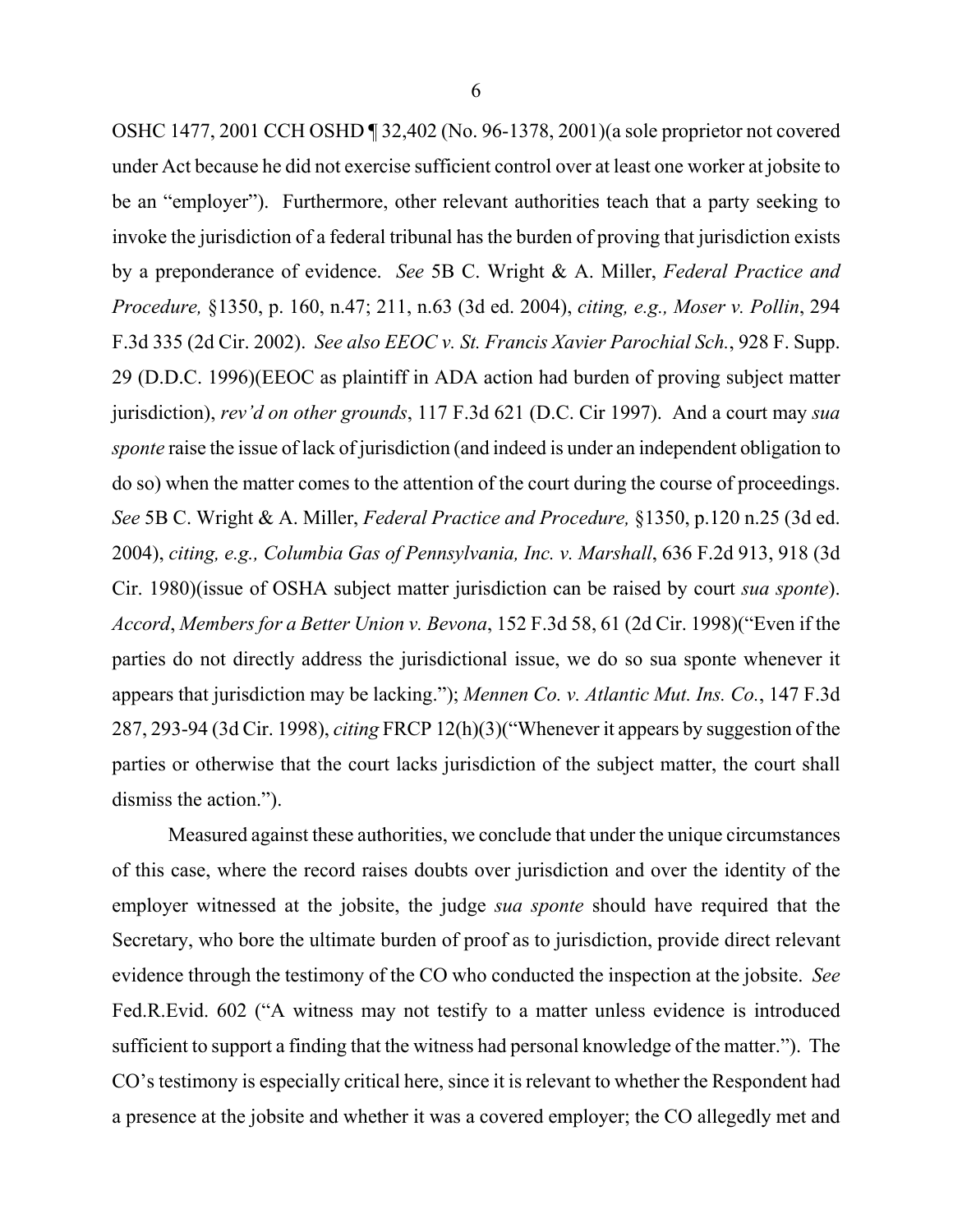OSHC 1477, 2001 CCH OSHD ¶ 32,402 (No. 96-1378, 2001)(a sole proprietor not covered under Act because he did not exercise sufficient control over at least one worker at jobsite to be an "employer"). Furthermore, other relevant authorities teach that a party seeking to invoke the jurisdiction of a federal tribunal has the burden of proving that jurisdiction exists by a preponderance of evidence. *See* 5B C. Wright & A. Miller, *Federal Practice and Procedure,* §1350, p. 160, n.47; 211, n.63 (3d ed. 2004), *citing, e.g., Moser v. Pollin*, 294 F.3d 335 (2d Cir. 2002). *See also EEOC v. St. Francis Xavier Parochial Sch.*, 928 F. Supp. 29 (D.D.C. 1996)(EEOC as plaintiff in ADA action had burden of proving subject matter jurisdiction), *rev'd on other grounds*, 117 F.3d 621 (D.C. Cir 1997). And a court may *sua sponte* raise the issue of lack of jurisdiction (and indeed is under an independent obligation to do so) when the matter comes to the attention of the court during the course of proceedings. *See* 5B C. Wright & A. Miller, *Federal Practice and Procedure,* §1350, p.120 n.25 (3d ed. 2004), *citing, e.g., Columbia Gas of Pennsylvania, Inc. v. Marshall*, 636 F.2d 913, 918 (3d Cir. 1980)(issue of OSHA subject matter jurisdiction can be raised by court *sua sponte*). *Accord*, *Members for a Better Union v. Bevona*, 152 F.3d 58, 61 (2d Cir. 1998)("Even if the parties do not directly address the jurisdictional issue, we do so sua sponte whenever it appears that jurisdiction may be lacking."); *Mennen Co. v. Atlantic Mut. Ins. Co.*, 147 F.3d 287, 293-94 (3d Cir. 1998), *citing* FRCP 12(h)(3)("Whenever it appears by suggestion of the parties or otherwise that the court lacks jurisdiction of the subject matter, the court shall dismiss the action.").

Measured against these authorities, we conclude that under the unique circumstances of this case, where the record raises doubts over jurisdiction and over the identity of the employer witnessed at the jobsite, the judge *sua sponte* should have required that the Secretary, who bore the ultimate burden of proof as to jurisdiction, provide direct relevant evidence through the testimony of the CO who conducted the inspection at the jobsite. *See*  Fed.R.Evid. 602 ("A witness may not testify to a matter unless evidence is introduced sufficient to support a finding that the witness had personal knowledge of the matter."). The CO's testimony is especially critical here, since it is relevant to whether the Respondent had a presence at the jobsite and whether it was a covered employer; the CO allegedly met and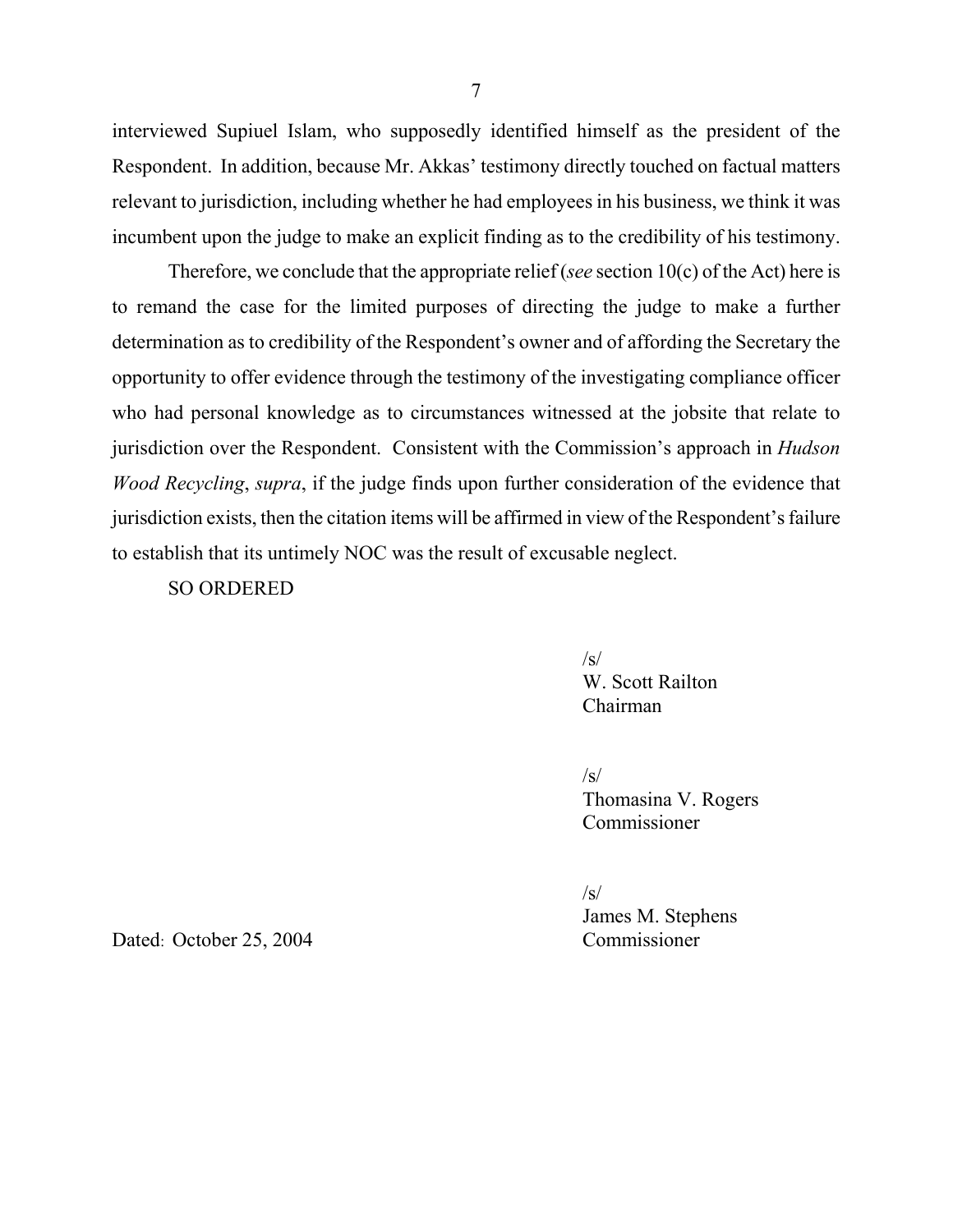interviewed Supiuel Islam, who supposedly identified himself as the president of the Respondent. In addition, because Mr. Akkas' testimony directly touched on factual matters relevant to jurisdiction, including whether he had employees in his business, we think it was incumbent upon the judge to make an explicit finding as to the credibility of his testimony.

Therefore, we conclude that the appropriate relief (*see* section 10(c) of the Act) here is to remand the case for the limited purposes of directing the judge to make a further determination as to credibility of the Respondent's owner and of affording the Secretary the opportunity to offer evidence through the testimony of the investigating compliance officer who had personal knowledge as to circumstances witnessed at the jobsite that relate to jurisdiction over the Respondent. Consistent with the Commission's approach in *Hudson Wood Recycling*, *supra*, if the judge finds upon further consideration of the evidence that jurisdiction exists, then the citation items will be affirmed in view of the Respondent's failure to establish that its untimely NOC was the result of excusable neglect.

SO ORDERED

 $\sqrt{s}$ W. Scott Railton Chairman

 $\sqrt{s}$ Thomasina V. Rogers Commissioner

 $\sqrt{s}$ James M. Stephens

Dated: October 25, 2004 Commissioner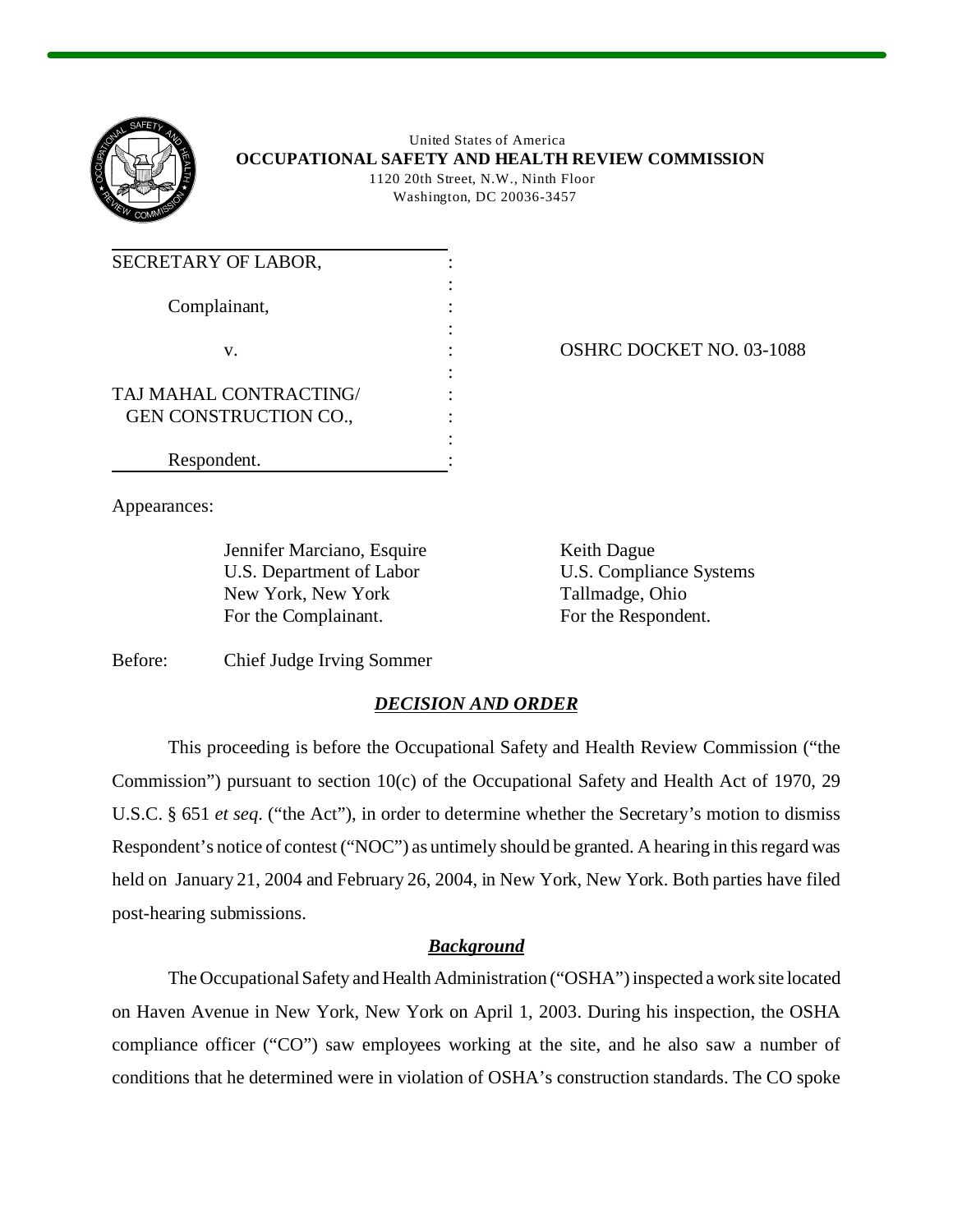

United States of America **OCCUPATIONAL SAFETY AND HEALTH REVIEW COMMISSION**  1120 20th Street, N.W., Ninth Floor Washington, DC 20036-3457

| SECRETARY OF LABOR,          |  |
|------------------------------|--|
|                              |  |
| Complainant,                 |  |
|                              |  |
| V.                           |  |
|                              |  |
| TAJ MAHAL CONTRACTING/       |  |
| <b>GEN CONSTRUCTION CO.,</b> |  |
|                              |  |
| Respondent.                  |  |

OSHRC DOCKET NO. 03-1088

Appearances:

Jennifer Marciano, Esquire U.S. Department of Labor New York, New York For the Complainant.

Keith Dague U.S. Compliance Systems Tallmadge, Ohio For the Respondent.

Before: Chief Judge Irving Sommer

# *DECISION AND ORDER*

This proceeding is before the Occupational Safety and Health Review Commission ("the Commission") pursuant to section 10(c) of the Occupational Safety and Health Act of 1970, 29 U.S.C. § 651 *et seq*. ("the Act"), in order to determine whether the Secretary's motion to dismiss Respondent's notice of contest ("NOC") as untimely should be granted. A hearing in this regard was held on January 21, 2004 and February 26, 2004, in New York, New York. Both parties have filed post-hearing submissions.

## *Background*

The Occupational Safety and Health Administration ("OSHA") inspected a work site located on Haven Avenue in New York, New York on April 1, 2003. During his inspection, the OSHA compliance officer ("CO") saw employees working at the site, and he also saw a number of conditions that he determined were in violation of OSHA's construction standards. The CO spoke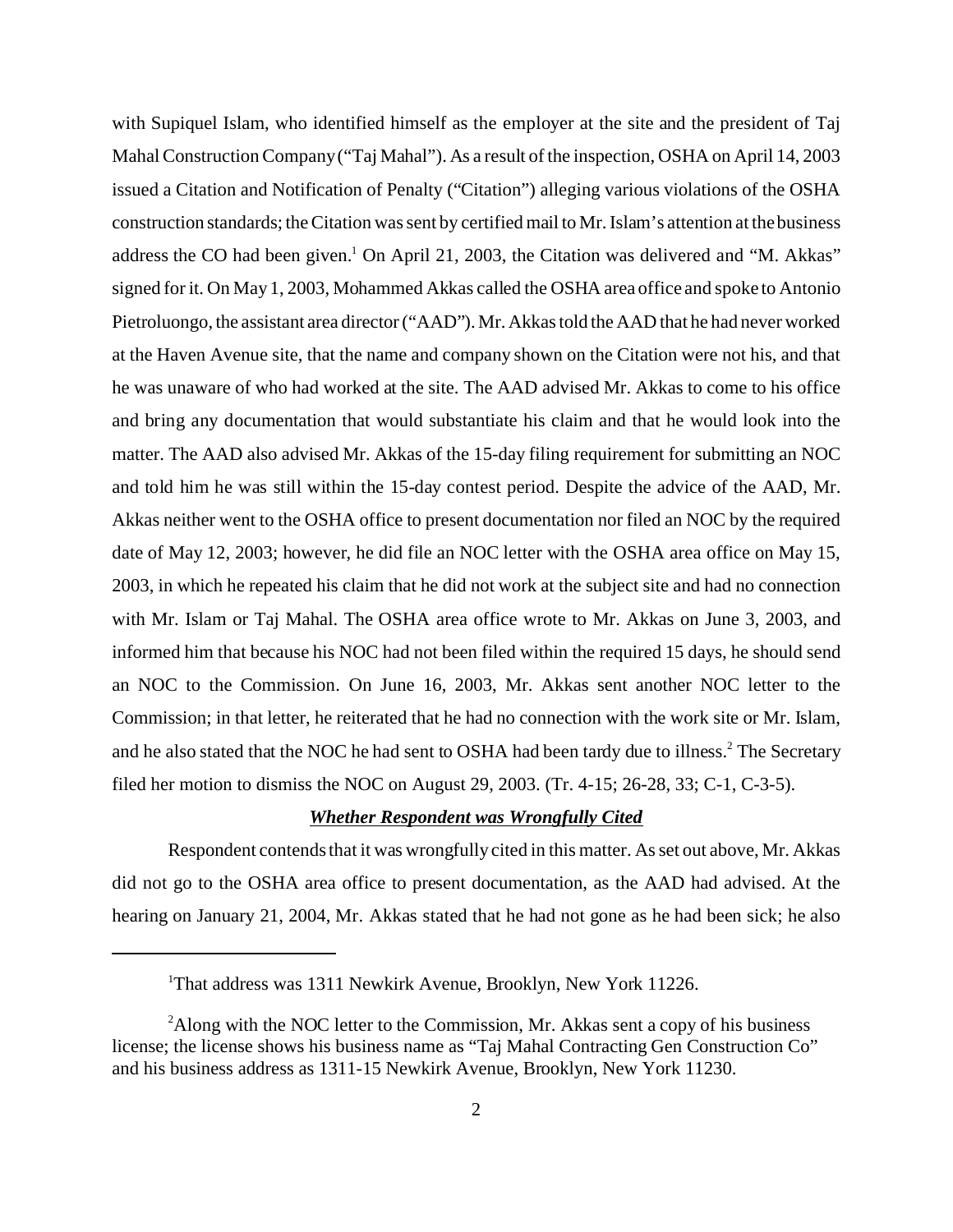with Supiquel Islam, who identified himself as the employer at the site and the president of Taj Mahal Construction Company ("Taj Mahal"). As a result of the inspection, OSHA on April 14, 2003 issued a Citation and Notification of Penalty ("Citation") alleging various violations of the OSHA construction standards; the Citation was sent by certified mail to Mr. Islam's attention at the business address the CO had been given.<sup>1</sup> On April 21, 2003, the Citation was delivered and "M. Akkas" signed for it. On May 1, 2003, Mohammed Akkas called the OSHA area office and spoke to Antonio Pietroluongo, the assistant area director ("AAD"). Mr. Akkas told the AAD that he had never worked at the Haven Avenue site, that the name and company shown on the Citation were not his, and that he was unaware of who had worked at the site. The AAD advised Mr. Akkas to come to his office and bring any documentation that would substantiate his claim and that he would look into the matter. The AAD also advised Mr. Akkas of the 15-day filing requirement for submitting an NOC and told him he was still within the 15-day contest period. Despite the advice of the AAD, Mr. Akkas neither went to the OSHA office to present documentation nor filed an NOC by the required date of May 12, 2003; however, he did file an NOC letter with the OSHA area office on May 15, 2003, in which he repeated his claim that he did not work at the subject site and had no connection with Mr. Islam or Taj Mahal. The OSHA area office wrote to Mr. Akkas on June 3, 2003, and informed him that because his NOC had not been filed within the required 15 days, he should send an NOC to the Commission. On June 16, 2003, Mr. Akkas sent another NOC letter to the Commission; in that letter, he reiterated that he had no connection with the work site or Mr. Islam, and he also stated that the NOC he had sent to OSHA had been tardy due to illness.<sup>2</sup> The Secretary filed her motion to dismiss the NOC on August 29, 2003. (Tr. 4-15; 26-28, 33; C-1, C-3-5).

### *Whether Respondent was Wrongfully Cited*

Respondent contends that it was wrongfully cited in this matter. As set out above, Mr. Akkas did not go to the OSHA area office to present documentation, as the AAD had advised. At the hearing on January 21, 2004, Mr. Akkas stated that he had not gone as he had been sick; he also

<sup>1</sup> That address was 1311 Newkirk Avenue, Brooklyn, New York 11226.

<sup>&</sup>lt;sup>2</sup>Along with the NOC letter to the Commission, Mr. Akkas sent a copy of his business license; the license shows his business name as "Taj Mahal Contracting Gen Construction Co" and his business address as 1311-15 Newkirk Avenue, Brooklyn, New York 11230.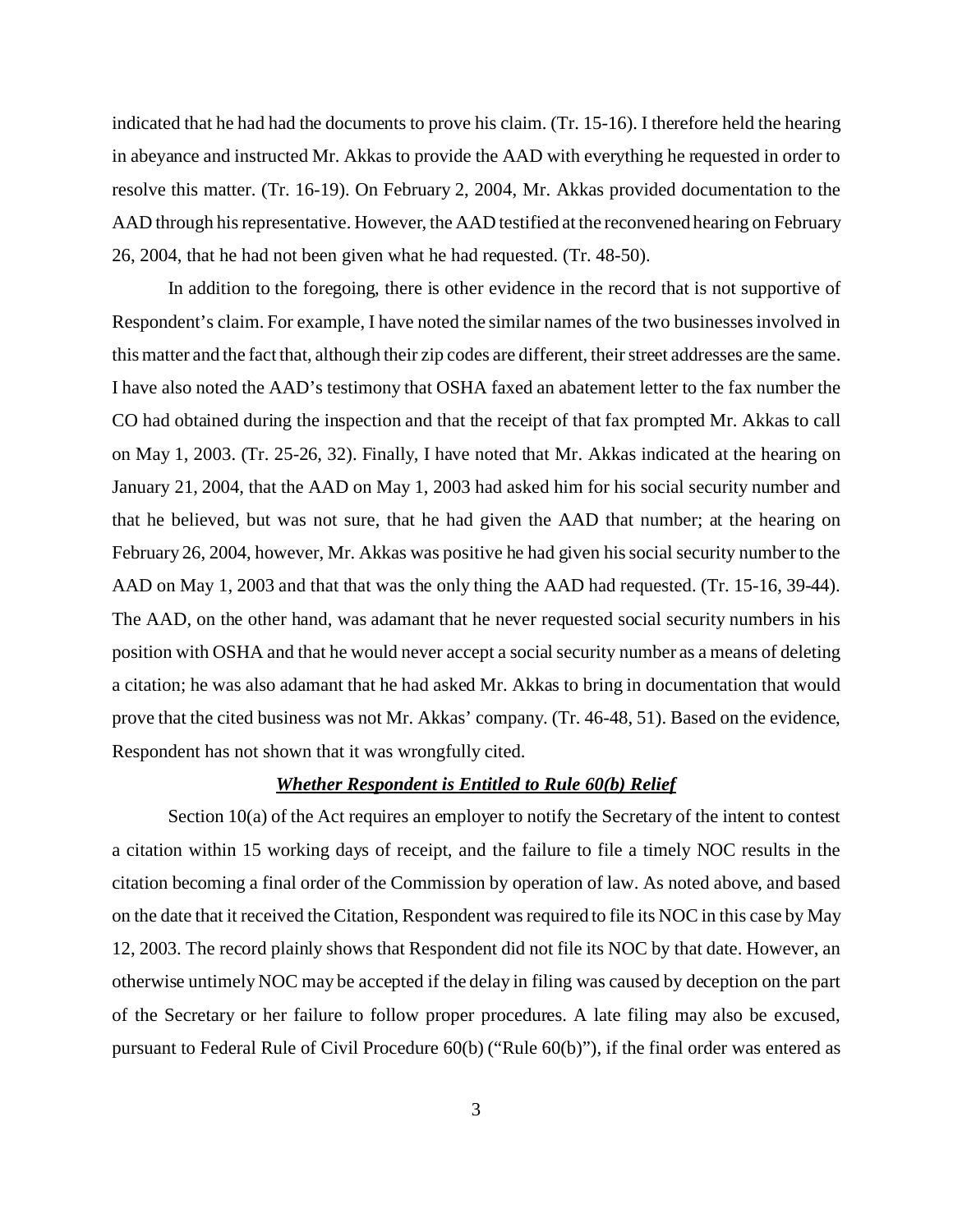indicated that he had had the documents to prove his claim. (Tr. 15-16). I therefore held the hearing in abeyance and instructed Mr. Akkas to provide the AAD with everything he requested in order to resolve this matter. (Tr. 16-19). On February 2, 2004, Mr. Akkas provided documentation to the AAD through his representative. However, the AAD testified at the reconvened hearing on February 26, 2004, that he had not been given what he had requested. (Tr. 48-50).

In addition to the foregoing, there is other evidence in the record that is not supportive of Respondent's claim. For example, I have noted the similar names of the two businesses involved in this matter and the fact that, although their zip codes are different, their street addresses are the same. I have also noted the AAD's testimony that OSHA faxed an abatement letter to the fax number the CO had obtained during the inspection and that the receipt of that fax prompted Mr. Akkas to call on May 1, 2003. (Tr. 25-26, 32). Finally, I have noted that Mr. Akkas indicated at the hearing on January 21, 2004, that the AAD on May 1, 2003 had asked him for his social security number and that he believed, but was not sure, that he had given the AAD that number; at the hearing on February 26, 2004, however, Mr. Akkas was positive he had given his social security number to the AAD on May 1, 2003 and that that was the only thing the AAD had requested. (Tr. 15-16, 39-44). The AAD, on the other hand, was adamant that he never requested social security numbers in his position with OSHA and that he would never accept a social security number as a means of deleting a citation; he was also adamant that he had asked Mr. Akkas to bring in documentation that would prove that the cited business was not Mr. Akkas' company. (Tr. 46-48, 51). Based on the evidence, Respondent has not shown that it was wrongfully cited.

#### *Whether Respondent is Entitled to Rule 60(b) Relief*

Section 10(a) of the Act requires an employer to notify the Secretary of the intent to contest a citation within 15 working days of receipt, and the failure to file a timely NOC results in the citation becoming a final order of the Commission by operation of law. As noted above, and based on the date that it received the Citation, Respondent was required to file its NOC in this case by May 12, 2003. The record plainly shows that Respondent did not file its NOC by that date. However, an otherwise untimely NOC may be accepted if the delay in filing was caused by deception on the part of the Secretary or her failure to follow proper procedures. A late filing may also be excused, pursuant to Federal Rule of Civil Procedure 60(b) ("Rule 60(b)"), if the final order was entered as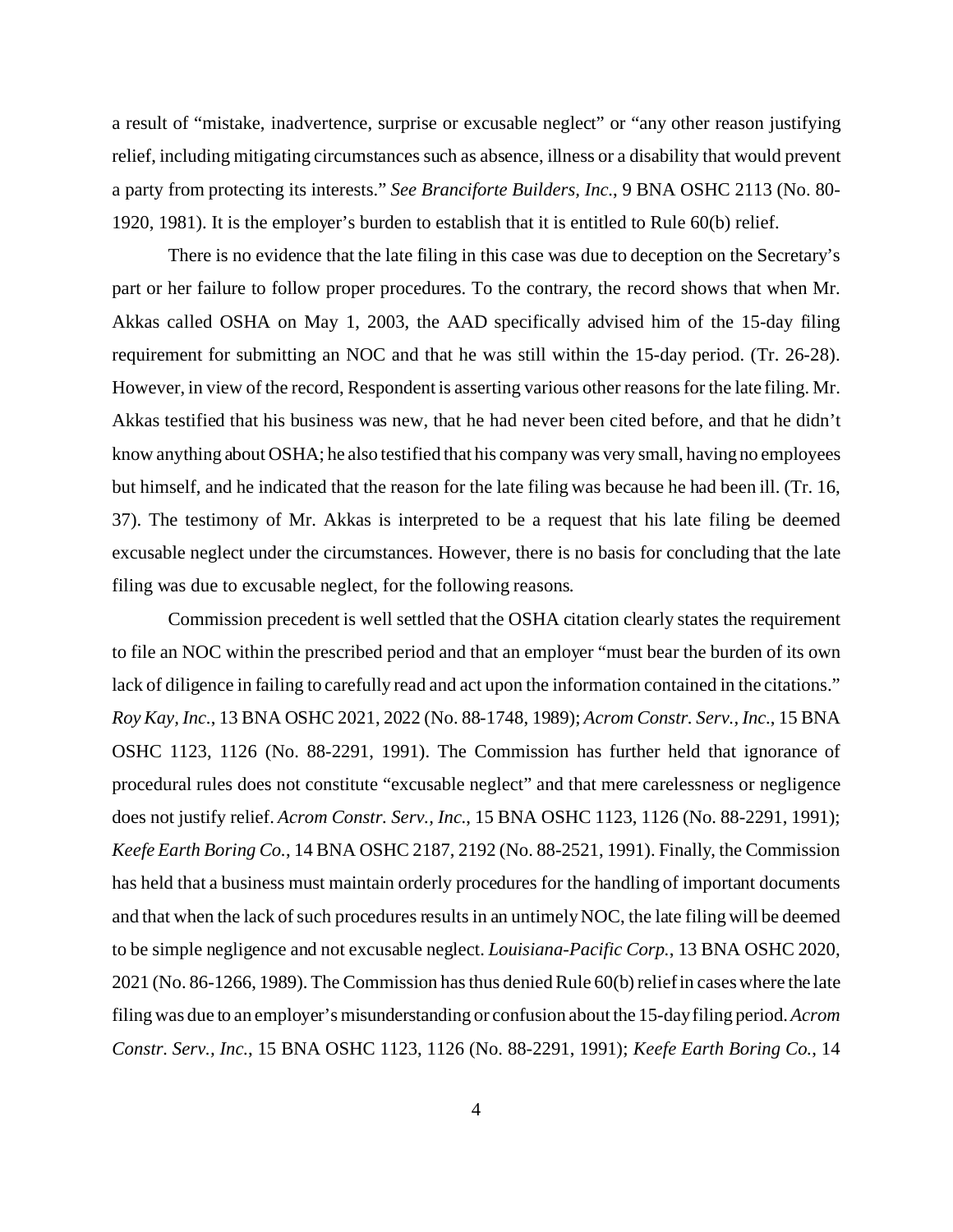a result of "mistake, inadvertence, surprise or excusable neglect" or "any other reason justifying relief, including mitigating circumstances such as absence, illness or a disability that would prevent a party from protecting its interests." *See Branciforte Builders, Inc.*, 9 BNA OSHC 2113 (No. 80- 1920, 1981). It is the employer's burden to establish that it is entitled to Rule 60(b) relief.

There is no evidence that the late filing in this case was due to deception on the Secretary's part or her failure to follow proper procedures. To the contrary, the record shows that when Mr. Akkas called OSHA on May 1, 2003, the AAD specifically advised him of the 15-day filing requirement for submitting an NOC and that he was still within the 15-day period. (Tr. 26-28). However, in view of the record, Respondent is asserting various other reasons for the late filing. Mr. Akkas testified that his business was new, that he had never been cited before, and that he didn't know anything about OSHA; he also testified that his company was very small, having no employees but himself, and he indicated that the reason for the late filing was because he had been ill. (Tr. 16, 37). The testimony of Mr. Akkas is interpreted to be a request that his late filing be deemed excusable neglect under the circumstances. However, there is no basis for concluding that the late filing was due to excusable neglect, for the following reasons.

Commission precedent is well settled that the OSHA citation clearly states the requirement to file an NOC within the prescribed period and that an employer "must bear the burden of its own lack of diligence in failing to carefully read and act upon the information contained in the citations." *Roy Kay, Inc.*, 13 BNA OSHC 2021, 2022 (No. 88-1748, 1989); *Acrom Constr. Serv., Inc.*, 15 BNA OSHC 1123, 1126 (No. 88-2291, 1991). The Commission has further held that ignorance of procedural rules does not constitute "excusable neglect" and that mere carelessness or negligence does not justify relief. *Acrom Constr. Serv., Inc.*, 15 BNA OSHC 1123, 1126 (No. 88-2291, 1991); *Keefe Earth Boring Co.*, 14 BNA OSHC 2187, 2192 (No. 88-2521, 1991). Finally, the Commission has held that a business must maintain orderly procedures for the handling of important documents and that when the lack of such procedures results in an untimely NOC, the late filing will be deemed to be simple negligence and not excusable neglect. *Louisiana-Pacific Corp.*, 13 BNA OSHC 2020, 2021 (No. 86-1266, 1989). The Commission has thus denied Rule 60(b) relief in cases where the late filing was due to an employer's misunderstanding or confusion about the 15-day filing period. *Acrom Constr. Serv., Inc.*, 15 BNA OSHC 1123, 1126 (No. 88-2291, 1991); *Keefe Earth Boring Co.*, 14